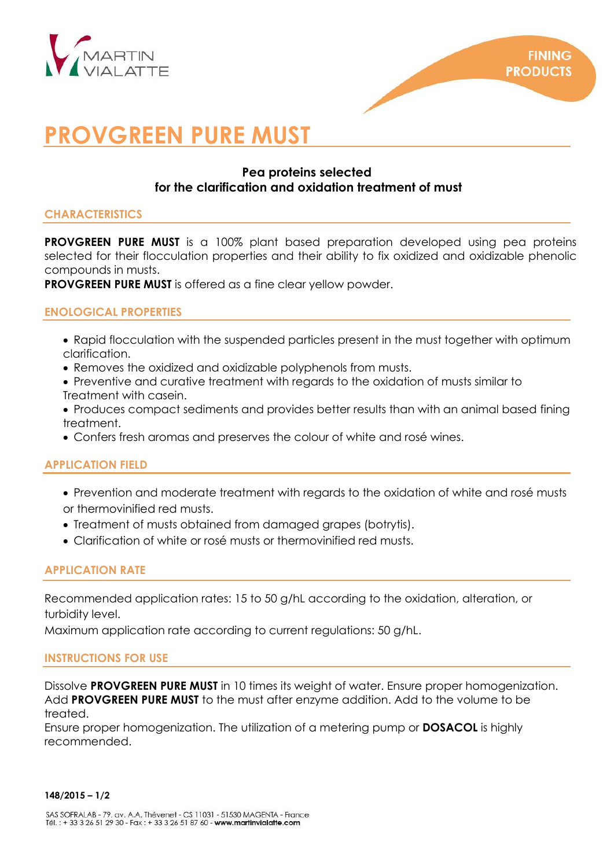

# **PROVGREEN PURE MUST**

# **Pea proteins selected for the clarification and oxidation treatment of must**

## **CHARACTERISTICS**

**PROVGREEN PURE MUST** is a 100% plant based preparation developed using pea proteins selected for their flocculation properties and their ability to fix oxidized and oxidizable phenolic compounds in musts.

**PROVGREEN PURE MUST** is offered as a fine clear yellow powder.

# **ENOLOGICAL PROPERTIES**

- Rapid flocculation with the suspended particles present in the must together with optimum clarification.
- Removes the oxidized and oxidizable polyphenols from musts.
- Preventive and curative treatment with regards to the oxidation of musts similar to Treatment with casein.
- Produces compact sediments and provides better results than with an animal based fining treatment.
- Confers fresh aromas and preserves the colour of white and rosé wines.

# **APPLICATION FIELD**

- Prevention and moderate treatment with regards to the oxidation of white and rosé musts or thermovinified red musts.
- Treatment of musts obtained from damaged grapes (botrytis).
- Clarification of white or rosé musts or thermovinified red musts.

# **APPLICATION RATE**

Recommended application rates: 15 to 50 g/hL according to the oxidation, alteration, or turbidity level.

Maximum application rate according to current regulations: 50 g/hL.

## **INSTRUCTIONS FOR USE**

Dissolve **PROVGREEN PURE MUST** in 10 times its weight of water. Ensure proper homogenization. Add **PROVGREEN PURE MUST** to the must after enzyme addition. Add to the volume to be treated.

Ensure proper homogenization. The utilization of a metering pump or **DOSACOL** is highly recommended.

#### **148/2015 – 1/2**